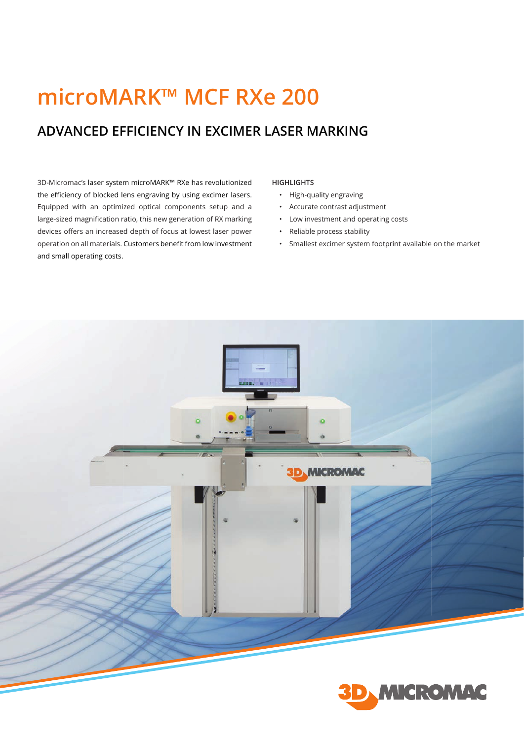# **microMARK™ MCF RXe 200**

## **ADVANCED EFFICIENCY IN EXCIMER LASER MARKING**

3D-Micromac's laser system microMARK™ RXe has revolutionized the efficiency of blocked lens engraving by using excimer lasers. Equipped with an optimized optical components setup and a large-sized magnification ratio, this new generation of RX marking devices offers an increased depth of focus at lowest laser power operation on all materials. Customers benefit from low investment and small operating costs.

#### **HIGHLIGHTS**

- High-quality engraving
- Accurate contrast adjustment
- Low investment and operating costs
- Reliable process stability
- Smallest excimer system footprint available on the market